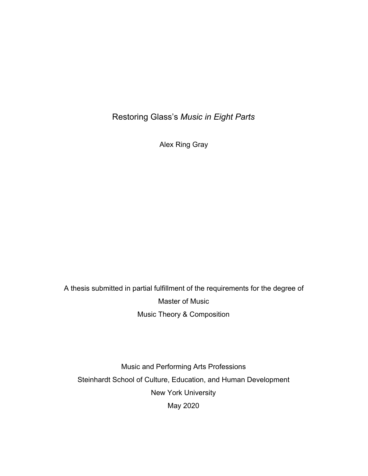Restoring Glass's *Music in Eight Parts*

Alex Ring Gray

A thesis submitted in partial fulfillment of the requirements for the degree of Master of Music Music Theory & Composition

Music and Performing Arts Professions Steinhardt School of Culture, Education, and Human Development New York University May 2020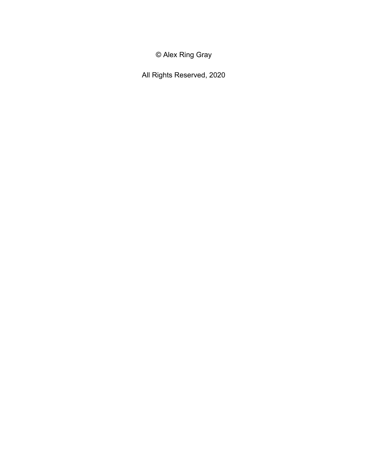© Alex Ring Gray

All Rights Reserved, 2020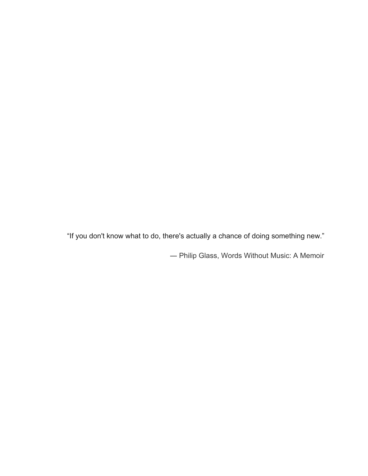"If you don't know what to do, there's actually a chance of doing something new."

― Philip Glass, [Words Without Music: A Memoir](https://www.goodreads.com/work/quotes/41638162)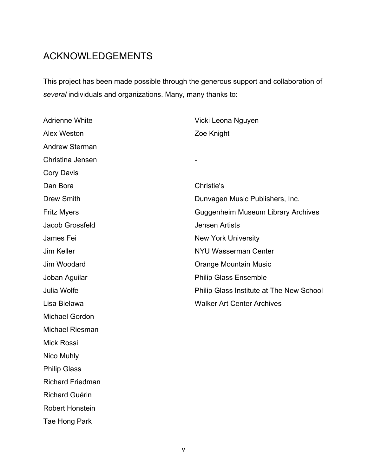# ACKNOWLEDGEMENTS

This project has been made possible through the generous support and collaboration of *several* individuals and organizations. Many, many thanks to:

| <b>Adrienne White</b>   | Vicki Leona Nguyen                        |  |
|-------------------------|-------------------------------------------|--|
| <b>Alex Weston</b>      | Zoe Knight                                |  |
| <b>Andrew Sterman</b>   |                                           |  |
| Christina Jensen        |                                           |  |
| <b>Cory Davis</b>       |                                           |  |
| Dan Bora                | Christie's                                |  |
| Drew Smith              | Dunvagen Music Publishers, Inc.           |  |
| <b>Fritz Myers</b>      | <b>Guggenheim Museum Library Archives</b> |  |
| Jacob Grossfeld         | <b>Jensen Artists</b>                     |  |
| James Fei               | <b>New York University</b>                |  |
| Jim Keller              | <b>NYU Wasserman Center</b>               |  |
| Jim Woodard             | <b>Orange Mountain Music</b>              |  |
| Joban Aguilar           | <b>Philip Glass Ensemble</b>              |  |
| Julia Wolfe             | Philip Glass Institute at The New School  |  |
| Lisa Bielawa            | <b>Walker Art Center Archives</b>         |  |
| <b>Michael Gordon</b>   |                                           |  |
| <b>Michael Riesman</b>  |                                           |  |
| <b>Mick Rossi</b>       |                                           |  |
| Nico Muhly              |                                           |  |
| <b>Philip Glass</b>     |                                           |  |
| <b>Richard Friedman</b> |                                           |  |
| <b>Richard Guérin</b>   |                                           |  |
| <b>Robert Honstein</b>  |                                           |  |

Tae Hong Park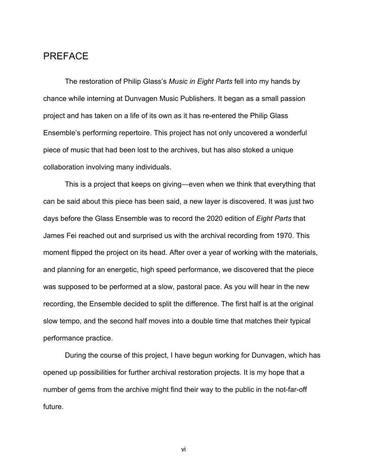### PREFACE

The restoration of Philip Glass's *Music in Eight Parts* fell into my hands by chance while interning at Dunvagen Music Publishers. It began as a small passion project and has taken on a life of its own as it has re-entered the Philip Glass Ensemble's performing repertoire. This project has not only uncovered a wonderful piece of music that had been lost to the archives, but has also stoked a unique collaboration involving many individuals.

This is a project that keeps on giving―even when we think that everything that can be said about this piece has been said, a new layer is discovered. It was just two days before the Glass Ensemble was to record the 2020 edition of *Eight Parts* that James Fei reached out and surprised us with the archival recording from 1970. This moment flipped the project on its head. After over a year of working with the materials, and planning for an energetic, high speed performance, we discovered that the piece was supposed to be performed at a slow, pastoral pace. As you will hear in the new recording, the Ensemble decided to split the difference. The first half is at the original slow tempo, and the second half moves into a double time that matches their typical performance practice.

During the course of this project, I have begun working for Dunvagen, which has opened up possibilities for further archival restoration projects. It is my hope that a number of gems from the archive might find their way to the public in the not-far-off future.

vi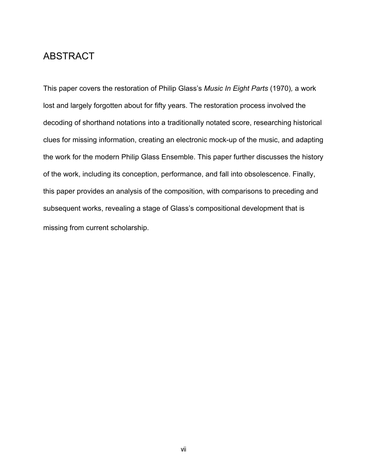### ABSTRACT

This paper covers the restoration of Philip Glass's *Music In Eight Parts* (1970)*,* a work lost and largely forgotten about for fifty years. The restoration process involved the decoding of shorthand notations into a traditionally notated score, researching historical clues for missing information, creating an electronic mock-up of the music, and adapting the work for the modern Philip Glass Ensemble. This paper further discusses the history of the work, including its conception, performance, and fall into obsolescence. Finally, this paper provides an analysis of the composition, with comparisons to preceding and subsequent works, revealing a stage of Glass's compositional development that is missing from current scholarship.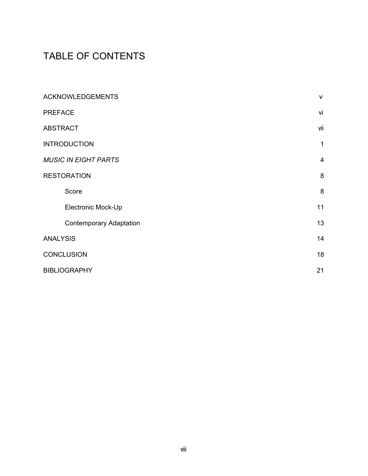# TABLE OF CONTENTS

| <b>ACKNOWLEDGEMENTS</b>        | $\mathsf{V}$   |
|--------------------------------|----------------|
| <b>PREFACE</b>                 | vi             |
| <b>ABSTRACT</b>                | vii            |
| <b>INTRODUCTION</b>            | 1              |
| <b>MUSIC IN EIGHT PARTS</b>    | $\overline{4}$ |
| <b>RESTORATION</b>             | 8              |
| Score                          | 8              |
| Electronic Mock-Up             | 11             |
| <b>Contemporary Adaptation</b> | 13             |
| <b>ANALYSIS</b>                | 14             |
| <b>CONCLUSION</b>              | 18             |
| <b>BIBLIOGRAPHY</b>            | 21             |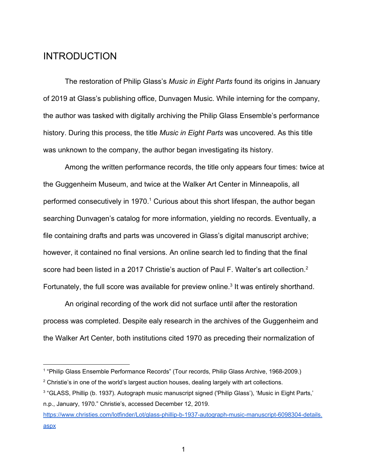### **INTRODUCTION**

The restoration of Philip Glass's *Music in Eight Parts* found its origins in January of 2019 at Glass's publishing office, Dunvagen Music. While interning for the company, the author was tasked with digitally archiving the Philip Glass Ensemble's performance history. During this process, the title *Music in Eight Parts* was uncovered. As this title was unknown to the company, the author began investigating its history.

Among the written performance records, the title only appears four times: twice at the Guggenheim Museum, and twice at the Walker Art Center in Minneapolis, all performed consecutively in 1970.<sup>1</sup> Curious about this short lifespan, the author began searching Dunvagen's catalog for more information, yielding no records. Eventually, a file containing drafts and parts was uncovered in Glass's digital manuscript archive; however, it contained no final versions. An online search led to finding that the final score had been listed in a 2017 Christie's auction of Paul F. Walter's art collection.<sup>2</sup> Fortunately, the full score was available for preview online.<sup>3</sup> It was entirely shorthand.

An original recording of the work did not surface until after the restoration process was completed. Despite ealy research in the archives of the Guggenheim and the Walker Art Center, both institutions cited 1970 as preceding their normalization of

<sup>1</sup> "Philip Glass Ensemble Performance Records" (Tour records, Philip Glass Archive, 1968-2009.)

 $2$  Christie's in one of the world's largest auction houses, dealing largely with art collections.

<sup>3</sup> "GLASS, Phillip (b. 1937). Autograph music manuscript signed ('Philip Glass'), 'Music in Eight Parts,' n.p., January, 1970." Christie's, accessed December 12, 2019.

[https://www.christies.com/lotfinder/Lot/glass-phillip-b-1937-autograph-music-manuscript-6098304-details.](https://www.christies.com/lotfinder/Lot/glass-phillip-b-1937-autograph-music-manuscript-6098304-details.aspx) [aspx](https://www.christies.com/lotfinder/Lot/glass-phillip-b-1937-autograph-music-manuscript-6098304-details.aspx)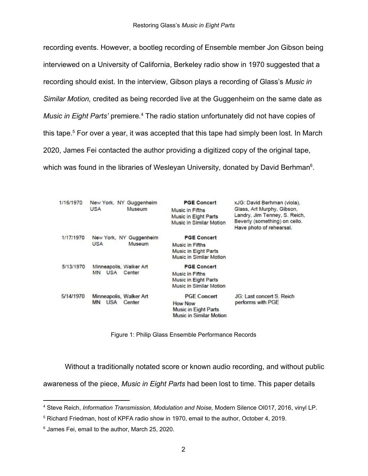recording events. However, a bootleg recording of Ensemble member Jon Gibson being interviewed on a University of California, Berkeley radio show in 1970 suggested that a recording should exist. In the interview, Gibson plays a recording of Glass's *Music in Similar Motion,* credited as being recorded live at the Guggenheim on the same date as *Music in Eight Parts'* premiere.<sup>4</sup> The radio station unfortunately did not have copies of this tape.<sup>5</sup> For over a year, it was accepted that this tape had simply been lost. In March 2020, James Fei contacted the author providing a digitized copy of the original tape, which was found in the libraries of Wesleyan University, donated by David Berhman<sup>6</sup>.

| 1/16/1970                         | New York, NY Guggenheim<br><b>USA</b><br>Museum       | <b>PGE Concert</b><br>Music in Fifths<br>Music in Eight Parts<br>Music in Similar Motion | xJG: David Berhman (viola),<br>Glass, Art Murphy, Gibson,<br>Landry, Jim Tenney, S. Reich,<br>Beverly (something) on cello.<br>Have photo of rehearsal. |
|-----------------------------------|-------------------------------------------------------|------------------------------------------------------------------------------------------|---------------------------------------------------------------------------------------------------------------------------------------------------------|
| 1/17/1970<br><b>USA</b><br>Museum | New York, NY Guggenheim                               | <b>PGE Concert</b>                                                                       |                                                                                                                                                         |
|                                   |                                                       | <b>Music in Fifths</b><br><b>Music in Eight Parts</b><br>Music in Similar Motion         |                                                                                                                                                         |
| 5/13/1970<br><b>MN</b>            | Minneapolis, Walker Art<br><b>USA</b><br>Center       | <b>PGE Concert</b>                                                                       |                                                                                                                                                         |
|                                   |                                                       | Music in Fifths                                                                          |                                                                                                                                                         |
|                                   |                                                       | <b>Music in Eight Parts</b>                                                              |                                                                                                                                                         |
|                                   |                                                       | Music in Similar Motion                                                                  |                                                                                                                                                         |
| 5/14/1970                         | Minneapolis, Walker Art<br><b>USA</b><br>Center<br>MN | <b>PGE Concert</b>                                                                       | JG: Last concert S. Reich<br>performs with PGE                                                                                                          |
|                                   |                                                       | <b>How Now</b>                                                                           |                                                                                                                                                         |
|                                   |                                                       | <b>Music in Eight Parts</b>                                                              |                                                                                                                                                         |
|                                   |                                                       | Music in Similar Motion                                                                  |                                                                                                                                                         |

Figure 1: Philip Glass Ensemble Performance Records

Without a traditionally notated score or known audio recording, and without public

awareness of the piece, *Music in Eight Parts* had been lost to time. This paper details

<sup>4</sup> Steve Reich, *Information Transmission, Modulation and Noise,* Modern Silence OI017, 2016, vinyl LP.

<sup>5</sup> Richard Friedman, host of KPFA radio show in 1970, email to the author, October 4, 2019.

<sup>6</sup> James Fei, email to the author, March 25, 2020.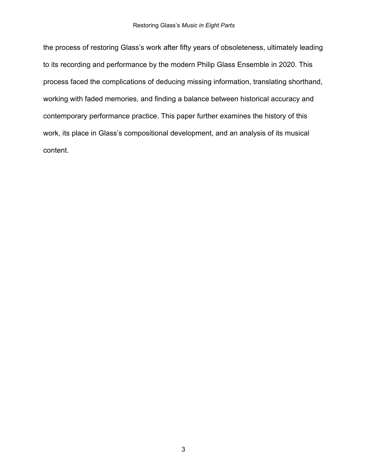the process of restoring Glass's work after fifty years of obsoleteness, ultimately leading to its recording and performance by the modern Philip Glass Ensemble in 2020. This process faced the complications of deducing missing information, translating shorthand, working with faded memories, and finding a balance between historical accuracy and contemporary performance practice. This paper further examines the history of this work, its place in Glass's compositional development, and an analysis of its musical content.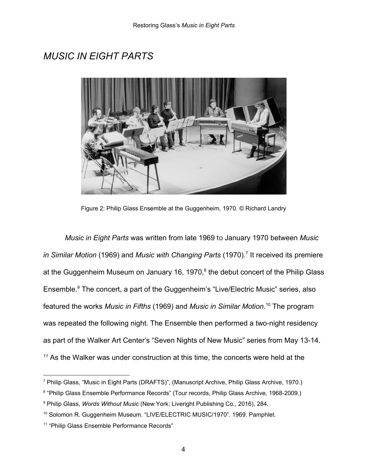## *MUSIC IN EIGHT PARTS*



Figure 2: Philip Glass Ensemble at the Guggenheim, 1970. © Richard Landry

*Music in Eight Parts* was written from late 1969 to January 1970 between *Music in Similar Motion (1969) and Music with Changing Parts (1970).<sup>7</sup> It received its premiere* at the Guggenheim Museum on January 16, 1970, $8$  the debut concert of the Philip Glass Ensemble.<sup>9</sup> The concert, a part of the Guggenheim's "Live/Electric Music" series, also featured the works *Music in Fifths* (1969) and *Music in Similar Motion.*<sup>10</sup> The program was repeated the following night. The Ensemble then performed a two-night residency as part of the Walker Art Center's "Seven Nights of New Music" series from May 13-14.  $11$ <sup>11</sup> As the Walker was under construction at this time, the concerts were held at the

<sup>7</sup> Philip Glass, "Music in Eight Parts (DRAFTS)", (Manuscript Archive, Philip Glass Archive, 1970.)

<sup>8</sup> "Philip Glass Ensemble Performance Records" (Tour records, Philip Glass Archive, 1968-2009.)

<sup>9</sup> Philip Glass, *Words Without Music* (New York: Liveright Publishing Co., 2016), 284.

<sup>10</sup> Solomon R. Guggenheim Museum. "LIVE/ELECTRIC MUSIC/1970". 1969. Pamphlet.

<sup>&</sup>lt;sup>11</sup> "Philip Glass Ensemble Performance Records"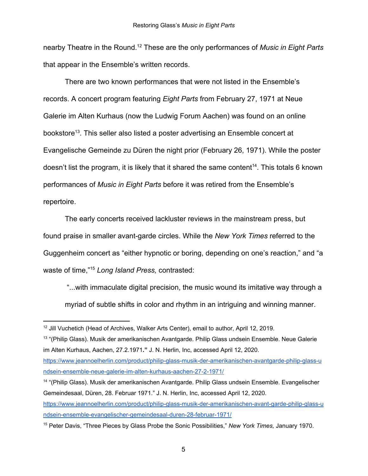nearby Theatre in the Round.<sup>12</sup> These are the only performances of *Music in Eight Parts* that appear in the Ensemble's written records.

There are two known performances that were not listed in the Ensemble's records. A concert program featuring *Eight Parts* from February 27, 1971 at Neue Galerie im Alten Kurhaus (now the Ludwig Forum Aachen) was found on an online bookstore<sup>13</sup>. This seller also listed a poster advertising an Ensemble concert at Evangelische Gemeinde zu Düren the night prior (February 26, 1971). While the poster doesn't list the program, it is likely that it shared the same content<sup>14</sup>. This totals 6 known performances of *Music in Eight Parts* before it was retired from the Ensemble's repertoire.

The early concerts received lackluster reviews in the mainstream press, but found praise in smaller avant-garde circles. While the *New York Times* referred to the Guggenheim concert as "either hypnotic or boring, depending on one's reaction," and "a waste of time,"<sup>15</sup> Long Island Press, contrasted:

 "...with immaculate digital precision, the music wound its imitative way through a myriad of subtle shifts in color and rhythm in an intriguing and winning manner.

<sup>&</sup>lt;sup>12</sup> Jill Vuchetich (Head of Archives, Walker Arts Center), email to author, April 12, 2019.

<sup>&</sup>lt;sup>13</sup> "(Philip Glass). Musik der amerikanischen Avantgarde. Philip Glass undsein Ensemble. Neue Galerie im Alten Kurhaus, Aachen, 27.2.1971**."** J. N. Herlin, Inc, accessed April 12, 2020.

[https://www.jeannoelherlin.com/product/philip-glass-musik-der-amerikanischen-avantgarde-philip-glass-u](https://www.jeannoelherlin.com/product/philip-glass-musik-der-amerikanischen-avantgarde-philip-glass-undsein-ensemble-neue-galerie-im-alten-kurhaus-aachen-27-2-1971/) [ndsein-ensemble-neue-galerie-im-alten-kurhaus-aachen-27-2-1971/](https://www.jeannoelherlin.com/product/philip-glass-musik-der-amerikanischen-avantgarde-philip-glass-undsein-ensemble-neue-galerie-im-alten-kurhaus-aachen-27-2-1971/)

<sup>14</sup> "(Philip Glass). Musik der amerikanischen Avantgarde. Philip Glass undsein Ensemble. Evangelischer Gemeindesaal, Düren, 28. Februar 1971." J. N. Herlin, Inc, accessed April 12, 2020.

[https://www.jeannoelherlin.com/product/philip-glass-musik-der-amerikanischen-avant-garde-philip-glass-u](https://www.jeannoelherlin.com/product/philip-glass-musik-der-amerikanischen-avant-garde-philip-glass-undsein-ensemble-evangelischer-gemeindesaal-duren-28-februar-1971/) [ndsein-ensemble-evangelischer-gemeindesaal-duren-28-februar-1971/](https://www.jeannoelherlin.com/product/philip-glass-musik-der-amerikanischen-avant-garde-philip-glass-undsein-ensemble-evangelischer-gemeindesaal-duren-28-februar-1971/)

<sup>15</sup> Peter Davis, "Three Pieces by Glass Probe the Sonic Possibilities," *New York Times,* January 1970.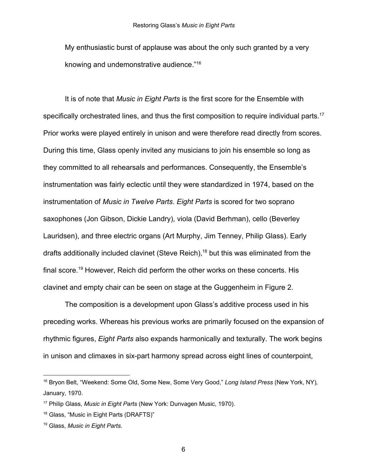My enthusiastic burst of applause was about the only such granted by a very knowing and undemonstrative audience."<sup>16</sup>

It is of note that *Music in Eight Parts* is the first score for the Ensemble with specifically orchestrated lines, and thus the first composition to require individual parts.<sup>17</sup> Prior works were played entirely in unison and were therefore read directly from scores. During this time, Glass openly invited any musicians to join his ensemble so long as they committed to all rehearsals and performances. Consequently, the Ensemble's instrumentation was fairly eclectic until they were standardized in 1974, based on the instrumentation of *Music in Twelve Parts*. *Eight Parts* is scored for two soprano saxophones (Jon Gibson, Dickie Landry), viola (David Berhman), cello (Beverley Lauridsen), and three electric organs (Art Murphy, Jim Tenney, Philip Glass). Early drafts additionally included clavinet (Steve Reich),  $18$  but this was eliminated from the final score.<sup>19</sup> However, Reich did perform the other works on these concerts. His clavinet and empty chair can be seen on stage at the Guggenheim in Figure 2.

The composition is a development upon Glass's additive process used in his preceding works. Whereas his previous works are primarily focused on the expansion of rhythmic figures, *Eight Parts* also expands harmonically and texturally. The work begins in unison and climaxes in six-part harmony spread across eight lines of counterpoint,

<sup>16</sup> Bryon Belt, "Weekend: Some Old, Some New, Some Very Good," *Long Island Press* (New York, NY)*,* January, 1970.

<sup>17</sup> Philip Glass, *Music in Eight Parts* (New York: Dunvagen Music, 1970).

<sup>18</sup> Glass, "Music in Eight Parts (DRAFTS)"

<sup>19</sup> Glass, *Music in Eight Parts*.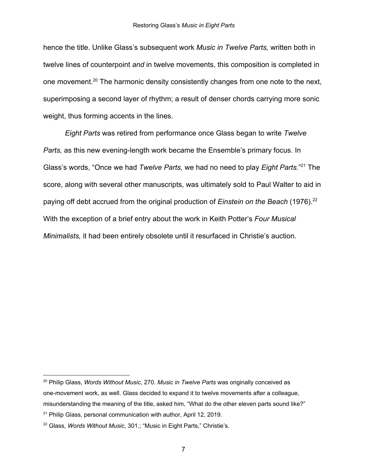hence the title. Unlike Glass's subsequent work *Music in Twelve Parts,* written both in twelve lines of counterpoint *and* in twelve movements, this composition is completed in one movement.<sup>20</sup> The harmonic density consistently changes from one note to the next, superimposing a second layer of rhythm; a result of denser chords carrying more sonic weight, thus forming accents in the lines.

*Eight Parts* was retired from performance once Glass began to write *Twelve Parts, as this new evening-length work became the Ensemble's primary focus. In* Glass's words, "Once we had *Twelve Parts*, we had no need to play *Eight Parts*."<sup>21</sup> The score, along with several other manuscripts, was ultimately sold to Paul Walter to aid in paying off debt accrued from the original production of *Einstein on the Beach* (1976).<sup>22</sup> With the exception of a brief entry about the work in Keith Potter's *Four Musical Minimalists,* it had been entirely obsolete until it resurfaced in Christie's auction.

<sup>20</sup> Philip Glass, *Words Without Music*, 270. *Music in Twelve Parts* was originally conceived as one-movement work, as well. Glass decided to expand it to twelve movements after a colleague, misunderstanding the meaning of the title, asked him, "What do the other eleven parts sound like?"

 $21$  Philip Glass, personal communication with author, April 12, 2019.

<sup>22</sup> Glass, *Words Without Music*, 301.; "Music in Eight Parts," Christie's.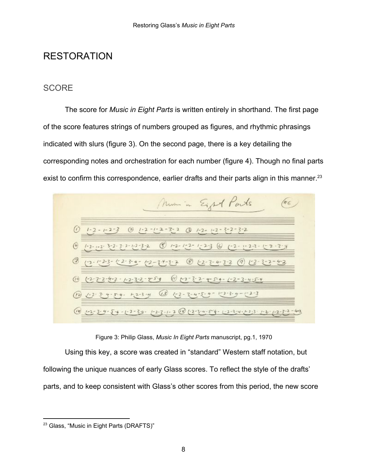### **RESTORATION**

#### **SCORE**

The score for *Music in Eight Parts* is written entirely in shorthand. The first page of the score features strings of numbers grouped as figures, and rhythmic phrasings indicated with slurs (figure 3). On the second page, there is a key detailing the corresponding notes and orchestration for each number (figure 4). Though no final parts exist to confirm this correspondence, earlier drafts and their parts align in this manner.<sup>23</sup>



Figure 3: Philip Glass, *Music In Eight Parts* manuscript, pg.1, 1970

Using this key, a score was created in "standard" Western staff notation, but following the unique nuances of early Glass scores. To reflect the style of the drafts' parts, and to keep consistent with Glass's other scores from this period, the new score

<sup>&</sup>lt;sup>23</sup> Glass, "Music in Eight Parts (DRAFTS)"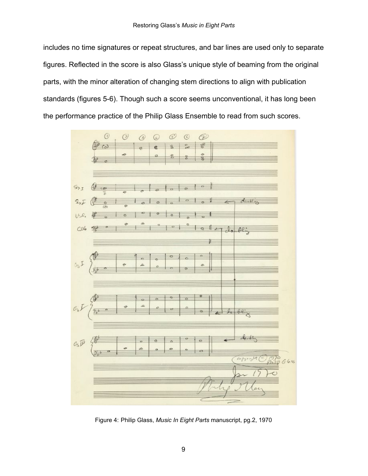includes no time signatures or repeat structures, and bar lines are used only to separate figures. Reflected in the score is also Glass's unique style of beaming from the original parts, with the minor alteration of changing stem directions to align with publication standards (figures 5-6). Though such a score seems unconventional, it has long been the performance practice of the Philip Glass Ensemble to read from such scores.



Figure 4: Philip Glass, *Music In Eight Parts* manuscript, pg.2, 1970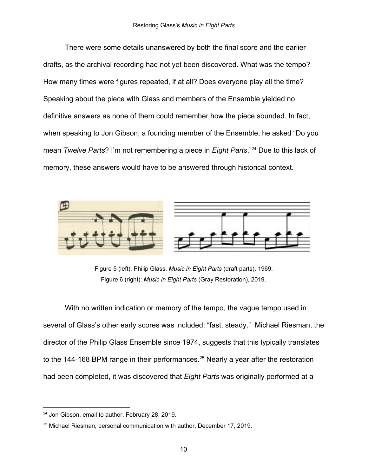There were some details unanswered by both the final score and the earlier drafts, as the archival recording had not yet been discovered. What was the tempo? How many times were figures repeated, if at all? Does everyone play all the time? Speaking about the piece with Glass and members of the Ensemble yielded no definitive answers as none of them could remember how the piece sounded. In fact, when speaking to Jon Gibson, a founding member of the Ensemble, he asked "Do you mean *Twelve Parts*? I'm not remembering a piece in *Eight Parts*."<sup>24</sup> Due to this lack of memory, these answers would have to be answered through historical context.



Figure 5 (left): Philip Glass, *Music in Eight Parts* (draft parts), 1969. Figure 6 (right): *Music in Eight Parts* (Gray Restoration), 2019.

With no written indication or memory of the tempo, the vague tempo used in several of Glass's other early scores was included: "fast, steady." Michael Riesman, the director of the Philip Glass Ensemble since 1974, suggests that this typically translates to the 144-168 BPM range in their performances.<sup>25</sup> Nearly a year after the restoration had been completed, it was discovered that *Eight Parts* was originally performed at a

<sup>&</sup>lt;sup>24</sup> Jon Gibson, email to author, February 28, 2019.

<sup>25</sup> Michael Riesman, personal communication with author, December 17, 2019.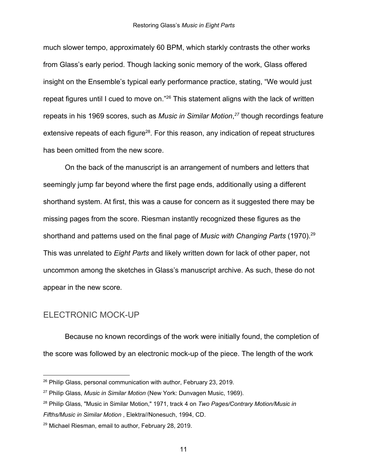much slower tempo, approximately 60 BPM, which starkly contrasts the other works from Glass's early period. Though lacking sonic memory of the work, Glass offered insight on the Ensemble's typical early performance practice, stating, "We would just repeat figures until I cued to move on."<sup>26</sup> This statement aligns with the lack of written repeats in his 1969 scores, such as *Music in Similar Motion*,<sup>27</sup> though recordings feature extensive repeats of each figure<sup>28</sup>. For this reason, any indication of repeat structures has been omitted from the new score.

On the back of the manuscript is an arrangement of numbers and letters that seemingly jump far beyond where the first page ends, additionally using a different shorthand system. At first, this was a cause for concern as it suggested there may be missing pages from the score. Riesman instantly recognized these figures as the shorthand and patterns used on the final page of *Music with Changing Parts* (1970).<sup>29</sup> This was unrelated to *Eight Parts* and likely written down for lack of other paper, not uncommon among the sketches in Glass's manuscript archive. As such, these do not appear in the new score*.*

#### ELECTRONIC MOCK-UP

Because no known recordings of the work were initially found, the completion of the score was followed by an electronic mock-up of the piece. The length of the work

<sup>&</sup>lt;sup>26</sup> Philip Glass, personal communication with author, February 23, 2019.

<sup>27</sup> Philip Glass, *Music in Similar Motion* (New York: Dunvagen Music, 1969).

<sup>28</sup> Philip Glass, "Music in Similar Motion," 1971, track 4 on *Two Pages/Contrary Motion/Music in Fifths/Music in Similar Motion* , Elektra//Nonesuch, 1994, CD.

<sup>29</sup> Michael Riesman, email to author, February 28, 2019.

<sup>11</sup>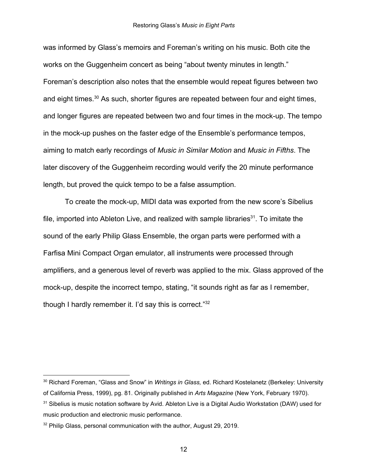was informed by Glass's memoirs and Foreman's writing on his music. Both cite the works on the Guggenheim concert as being "about twenty minutes in length." Foreman's description also notes that the ensemble would repeat figures between two and eight times.  $30$  As such, shorter figures are repeated between four and eight times, and longer figures are repeated between two and four times in the mock-up. The tempo in the mock-up pushes on the faster edge of the Ensemble's performance tempos, aiming to match early recordings of *Music in Similar Motion* and *Music in Fifths*. The later discovery of the Guggenheim recording would verify the 20 minute performance length, but proved the quick tempo to be a false assumption.

To create the mock-up, MIDI data was exported from the new score's Sibelius file, imported into Ableton Live, and realized with sample libraries<sup>31</sup>. To imitate the sound of the early Philip Glass Ensemble, the organ parts were performed with a Farfisa Mini Compact Organ emulator, all instruments were processed through amplifiers, and a generous level of reverb was applied to the mix. Glass approved of the mock-up, despite the incorrect tempo, stating, "it sounds right as far as I remember, though I hardly remember it. I'd say this is correct."<sup>32</sup>

<sup>30</sup> Richard Foreman, "Glass and Snow" in *Writings in Glass,* ed. Richard Kostelanetz (Berkeley: University of California Press, 1999), pg. 81. Originally published in *Arts Magazine* (New York, February 1970).

<sup>&</sup>lt;sup>31</sup> Sibelius is music notation software by Avid. Ableton Live is a Digital Audio Workstation (DAW) used for music production and electronic music performance.

<sup>&</sup>lt;sup>32</sup> Philip Glass, personal communication with the author, August 29, 2019.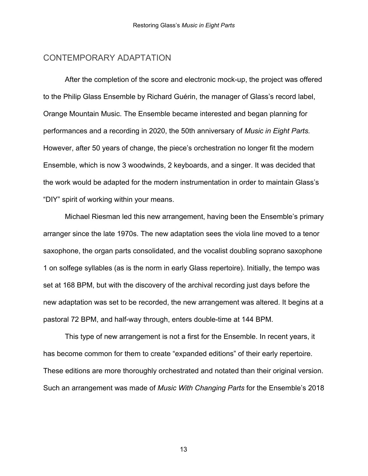#### CONTEMPORARY ADAPTATION

After the completion of the score and electronic mock-up, the project was offered to the Philip Glass Ensemble by Richard Guérin, the manager of Glass's record label, Orange Mountain Music. The Ensemble became interested and began planning for performances and a recording in 2020, the 50th anniversary of *Music in Eight Parts.* However, after 50 years of change, the piece's orchestration no longer fit the modern Ensemble, which is now 3 woodwinds, 2 keyboards, and a singer. It was decided that the work would be adapted for the modern instrumentation in order to maintain Glass's "DIY" spirit of working within your means.

Michael Riesman led this new arrangement, having been the Ensemble's primary arranger since the late 1970s. The new adaptation sees the viola line moved to a tenor saxophone, the organ parts consolidated, and the vocalist doubling soprano saxophone 1 on solfege syllables (as is the norm in early Glass repertoire). Initially, the tempo was set at 168 BPM, but with the discovery of the archival recording just days before the new adaptation was set to be recorded, the new arrangement was altered. It begins at a pastoral 72 BPM, and half-way through, enters double-time at 144 BPM.

This type of new arrangement is not a first for the Ensemble. In recent years, it has become common for them to create "expanded editions" of their early repertoire. These editions are more thoroughly orchestrated and notated than their original version. Such an arrangement was made of *Music With Changing Parts* for the Ensemble's 2018

13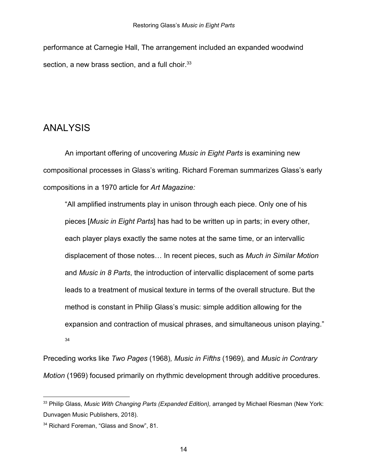performance at Carnegie Hall, The arrangement included an expanded woodwind section, a new brass section, and a full choir.<sup>33</sup>

## ANALYSIS

An important offering of uncovering *Music in Eight Parts* is examining new compositional processes in Glass's writing. Richard Foreman summarizes Glass's early compositions in a 1970 article for *Art Magazine:*

"All amplified instruments play in unison through each piece. Only one of his pieces [*Music in Eight Parts*] has had to be written up in parts; in every other, each player plays exactly the same notes at the same time, or an intervallic displacement of those notes… In recent pieces, such as *Much in Similar Motion* and *Music in 8 Parts*, the introduction of intervallic displacement of some parts leads to a treatment of musical texture in terms of the overall structure. But the method is constant in Philip Glass's music: simple addition allowing for the expansion and contraction of musical phrases, and simultaneous unison playing." 34

Preceding works like *Two Pages* (1968)*, Music in Fifths* (1969)*,* and *Music in Contrary Motion* (1969) focused primarily on rhythmic development through additive procedures.

<sup>33</sup> Philip Glass, *Music With Changing Parts (Expanded Edition),* arranged by Michael Riesman (New York: Dunvagen Music Publishers, 2018).

<sup>&</sup>lt;sup>34</sup> Richard Foreman, "Glass and Snow", 81.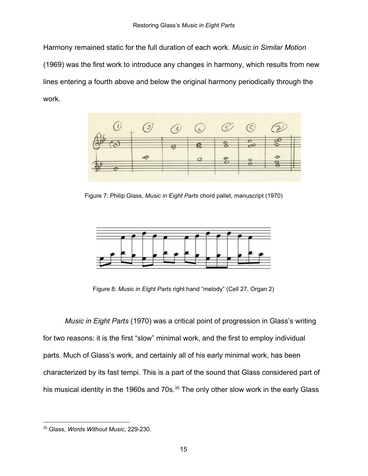Harmony remained static for the full duration of each work. *Music in Similar Motion* (1969) was the first work to introduce any changes in harmony, which results from new lines entering a fourth above and below the original harmony periodically through the work.



Figure 7: Philip Glass, *Music in Eight Parts* chord pallet, manuscript (1970)



Figure 8: *Music in Eight Parts* right hand "melody" (Cell 27, Organ 2)

*Music in Eight Parts* (1970) was a critical point of progression in Glass's writing for two reasons: it is the first "slow" minimal work, and the first to employ individual parts. Much of Glass's work, and certainly all of his early minimal work, has been characterized by its fast tempi. This is a part of the sound that Glass considered part of his musical identity in the 1960s and 70s.<sup>35</sup> The only other slow work in the early Glass

<sup>35</sup> Glass, *Words Without Music*, 229-230.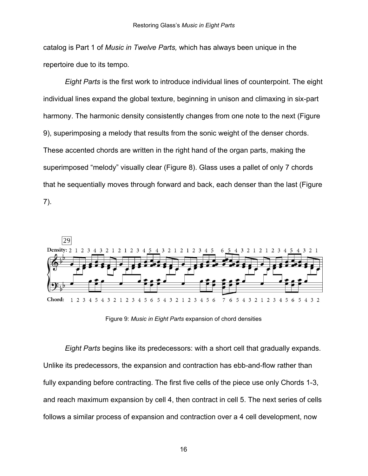catalog is Part 1 of *Music in Twelve Parts,* which has always been unique in the repertoire due to its tempo*.*

*Eight Parts* is the first work to introduce individual lines of counterpoint. The eight individual lines expand the global texture, beginning in unison and climaxing in six-part harmony. The harmonic density consistently changes from one note to the next (Figure 9), superimposing a melody that results from the sonic weight of the denser chords. These accented chords are written in the right hand of the organ parts, making the superimposed "melody" visually clear (Figure 8). Glass uses a pallet of only 7 chords that he sequentially moves through forward and back, each denser than the last (Figure 7).



Figure 9: *Music in Eight Parts* expansion of chord densities

*Eight Parts* begins like its predecessors: with a short cell that gradually expands. Unlike its predecessors, the expansion and contraction has ebb-and-flow rather than fully expanding before contracting. The first five cells of the piece use only Chords 1-3, and reach maximum expansion by cell 4, then contract in cell 5. The next series of cells follows a similar process of expansion and contraction over a 4 cell development, now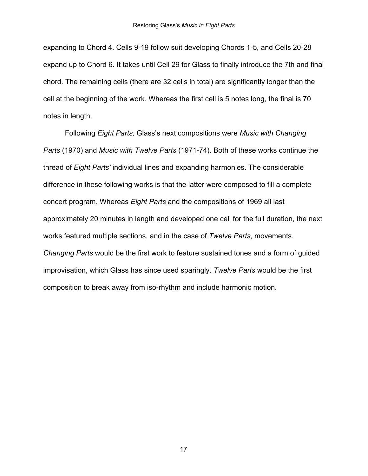expanding to Chord 4. Cells 9-19 follow suit developing Chords 1-5, and Cells 20-28 expand up to Chord 6. It takes until Cell 29 for Glass to finally introduce the 7th and final chord. The remaining cells (there are 32 cells in total) are significantly longer than the cell at the beginning of the work. Whereas the first cell is 5 notes long, the final is 70 notes in length.

Following *Eight Parts,* Glass's next compositions were *Music with Changing Parts* (1970) and *Music with Twelve Parts* (1971-74)*.* Both of these works continue the thread of *Eight Parts'* individual lines and expanding harmonies. The considerable difference in these following works is that the latter were composed to fill a complete concert program. Whereas *Eight Parts* and the compositions of 1969 all last approximately 20 minutes in length and developed one cell for the full duration, the next works featured multiple sections, and in the case of *Twelve Parts*, movements. *Changing Parts* would be the first work to feature sustained tones and a form of guided improvisation, which Glass has since used sparingly. *Twelve Parts* would be the first composition to break away from iso-rhythm and include harmonic motion.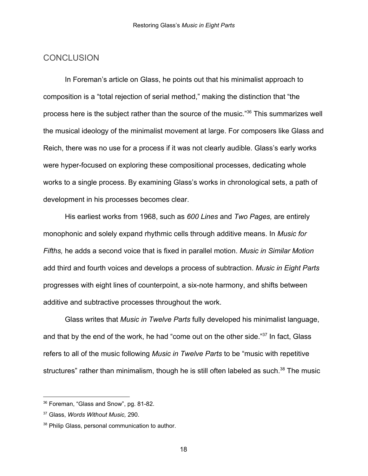#### **CONCLUSION**

In Foreman's article on Glass, he points out that his minimalist approach to composition is a "total rejection of serial method," making the distinction that "the process here is the subject rather than the source of the music."<sup>36</sup> This summarizes well the musical ideology of the minimalist movement at large. For composers like Glass and Reich, there was no use for a process if it was not clearly audible. Glass's early works were hyper-focused on exploring these compositional processes, dedicating whole works to a single process. By examining Glass's works in chronological sets, a path of development in his processes becomes clear.

His earliest works from 1968, such as *600 Lines* and *Two Pages,* are entirely monophonic and solely expand rhythmic cells through additive means. In *Music for Fifths,* he adds a second voice that is fixed in parallel motion. *Music in Similar Motion* add third and fourth voices and develops a process of subtraction. *Music in Eight Parts* progresses with eight lines of counterpoint, a six-note harmony, and shifts between additive and subtractive processes throughout the work.

Glass writes that *Music in Twelve Parts* fully developed his minimalist language, and that by the end of the work, he had "come out on the other side."<sup>37</sup> In fact, Glass refers to all of the music following *Music in Twelve Parts* to be "music with repetitive structures" rather than minimalism, though he is still often labeled as such.<sup>38</sup> The music

<sup>36</sup> Foreman, "Glass and Snow", pg. 81-82.

<sup>37</sup> Glass, *Words Without Music,* 290.

<sup>38</sup> Philip Glass, personal communication to author.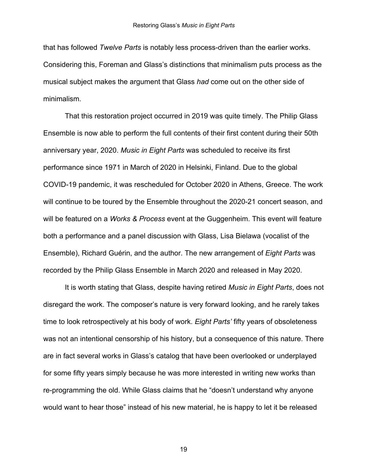that has followed *Twelve Parts* is notably less process-driven than the earlier works. Considering this, Foreman and Glass's distinctions that minimalism puts process as the musical subject makes the argument that Glass *had* come out on the other side of minimalism.

That this restoration project occurred in 2019 was quite timely. The Philip Glass Ensemble is now able to perform the full contents of their first content during their 50th anniversary year, 2020. *Music in Eight Parts* was scheduled to receive its first performance since 1971 in March of 2020 in Helsinki, Finland. Due to the global COVID-19 pandemic, it was rescheduled for October 2020 in Athens, Greece. The work will continue to be toured by the Ensemble throughout the 2020-21 concert season, and will be featured on a *Works & Process* event at the Guggenheim. This event will feature both a performance and a panel discussion with Glass, Lisa Bielawa (vocalist of the Ensemble), Richard Guérin, and the author. The new arrangement of *Eight Parts* was recorded by the Philip Glass Ensemble in March 2020 and released in May 2020.

It is worth stating that Glass, despite having retired *Music in Eight Parts*, does not disregard the work. The composer's nature is very forward looking, and he rarely takes time to look retrospectively at his body of work. *Eight Parts'* fifty years of obsoleteness was not an intentional censorship of his history, but a consequence of this nature. There are in fact several works in Glass's catalog that have been overlooked or underplayed for some fifty years simply because he was more interested in writing new works than re-programming the old. While Glass claims that he "doesn't understand why anyone would want to hear those" instead of his new material, he is happy to let it be released

19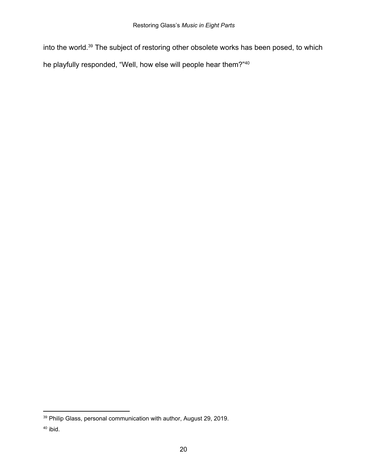into the world.<sup>39</sup> The subject of restoring other obsolete works has been posed, to which he playfully responded, "Well, how else will people hear them?"<sup>40</sup>

<sup>39</sup> Philip Glass, personal communication with author, August 29, 2019.

<sup>40</sup> ibid.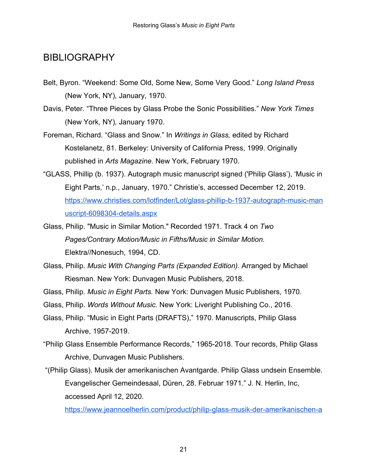## **BIBLIOGRAPHY**

- Belt, Byron. "Weekend: Some Old, Some New, Some Very Good." *Long Island Press* (New York, NY)*,* January, 1970.
- Davis, Peter. "Three Pieces by Glass Probe the Sonic Possibilities." *New York Times* (New York, NY)*,* January 1970.
- Foreman, Richard. "Glass and Snow." In *Writings in Glass,* edited by Richard Kostelanetz, 81. Berkeley: University of California Press, 1999. Originally published in *Arts Magazine*. New York, February 1970.
- "GLASS, Phillip (b. 1937). Autograph music manuscript signed ('Philip Glass'), 'Music in Eight Parts,' n.p., January, 1970." Christie's, accessed December 12, 2019. [https://www.christies.com/lotfinder/Lot/glass-phillip-b-1937-autograph-music-man](https://www.christies.com/lotfinder/Lot/glass-phillip-b-1937-autograph-music-manuscript-6098304-details.aspx) [uscript-6098304-details.aspx](https://www.christies.com/lotfinder/Lot/glass-phillip-b-1937-autograph-music-manuscript-6098304-details.aspx)
- Glass, Philip. "Music in Similar Motion." Recorded 1971. Track 4 on *Two Pages/Contrary Motion/Music in Fifths/Music in Similar Motion.* Elektra//Nonesuch, 1994, CD.
- Glass, Philip. *Music With Changing Parts (Expanded Edition).* Arranged by Michael Riesman. New York: Dunvagen Music Publishers, 2018.
- Glass, Philip. *Music in Eight Parts.* New York: Dunvagen Music Publishers, 1970.
- Glass, Philip. *Words Without Music.* New York: Liveright Publishing Co., 2016.
- Glass, Philip. "Music in Eight Parts (DRAFTS)," 1970. Manuscripts, Philip Glass Archive, 1957-2019.
- "Philip Glass Ensemble Performance Records," 1965-2018. Tour records, Philip Glass Archive, Dunvagen Music Publishers.
- "(Philip Glass). Musik der amerikanischen Avantgarde. Philip Glass undsein Ensemble. Evangelischer Gemeindesaal, Düren, 28. Februar 1971." J. N. Herlin, Inc, accessed April 12, 2020.

[https://www.jeannoelherlin.com/product/philip-glass-musik-der-amerikanischen-a](https://www.jeannoelherlin.com/product/philip-glass-musik-der-amerikanischen-avant-garde-philip-glass-undsein-ensemble-evangelischer-gemeindesaal-duren-28-februar-1971/)